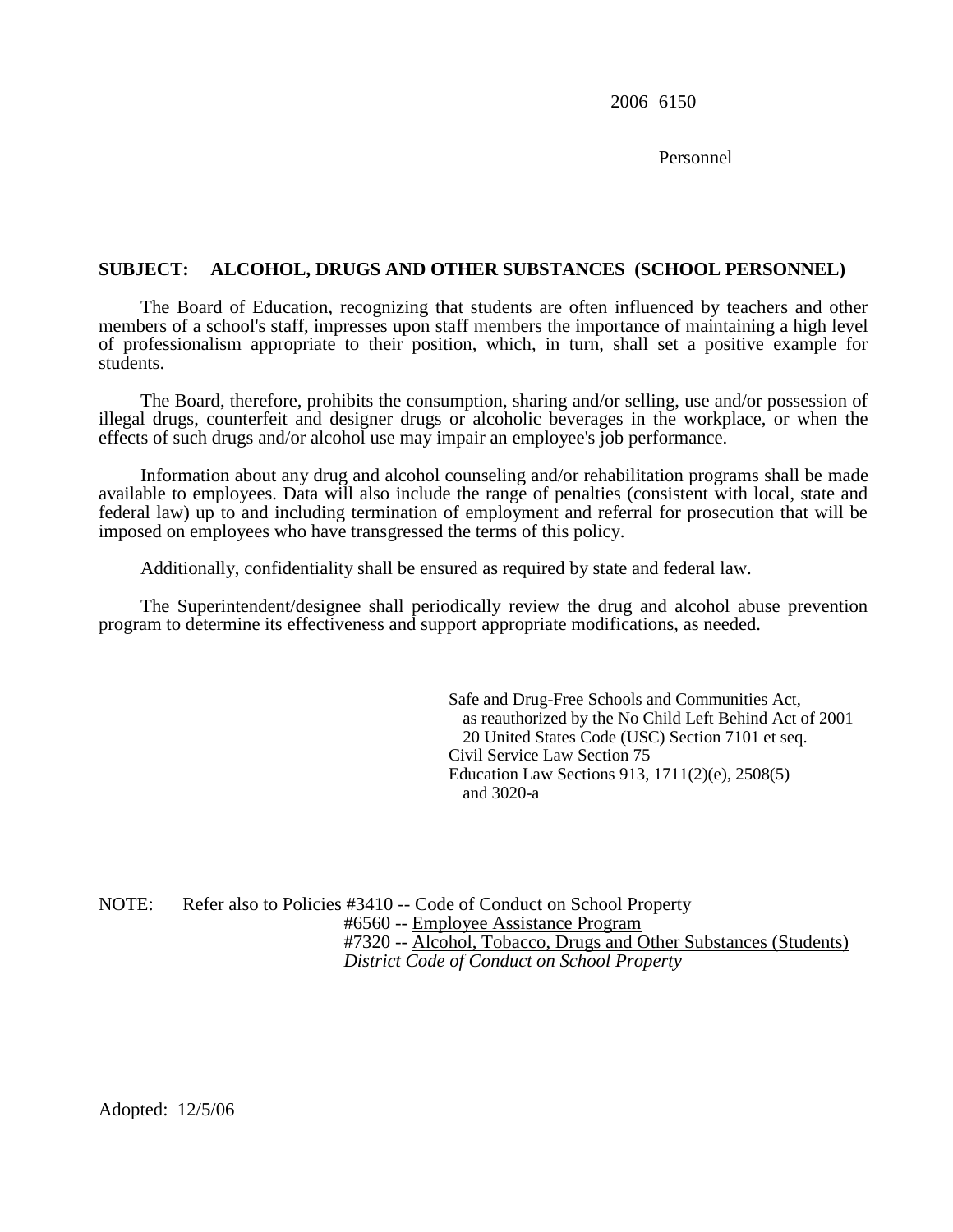2006 6150

Personnel

## **SUBJECT: ALCOHOL, DRUGS AND OTHER SUBSTANCES (SCHOOL PERSONNEL)**

The Board of Education, recognizing that students are often influenced by teachers and other members of a school's staff, impresses upon staff members the importance of maintaining a high level of professionalism appropriate to their position, which, in turn, shall set a positive example for students.

The Board, therefore, prohibits the consumption, sharing and/or selling, use and/or possession of illegal drugs, counterfeit and designer drugs or alcoholic beverages in the workplace, or when the effects of such drugs and/or alcohol use may impair an employee's job performance.

Information about any drug and alcohol counseling and/or rehabilitation programs shall be made available to employees. Data will also include the range of penalties (consistent with local, state and federal law) up to and including termination of employment and referral for prosecution that will be imposed on employees who have transgressed the terms of this policy.

Additionally, confidentiality shall be ensured as required by state and federal law.

The Superintendent/designee shall periodically review the drug and alcohol abuse prevention program to determine its effectiveness and support appropriate modifications, as needed.

> Safe and Drug-Free Schools and Communities Act, as reauthorized by the No Child Left Behind Act of 2001 20 United States Code (USC) Section 7101 et seq. Civil Service Law Section 75 Education Law Sections 913, 1711(2)(e), 2508(5) and 3020-a

NOTE: Refer also to Policies #3410 -- Code of Conduct on School Property #6560 -- Employee Assistance Program #7320 -- Alcohol, Tobacco, Drugs and Other Substances (Students) *District Code of Conduct on School Property*